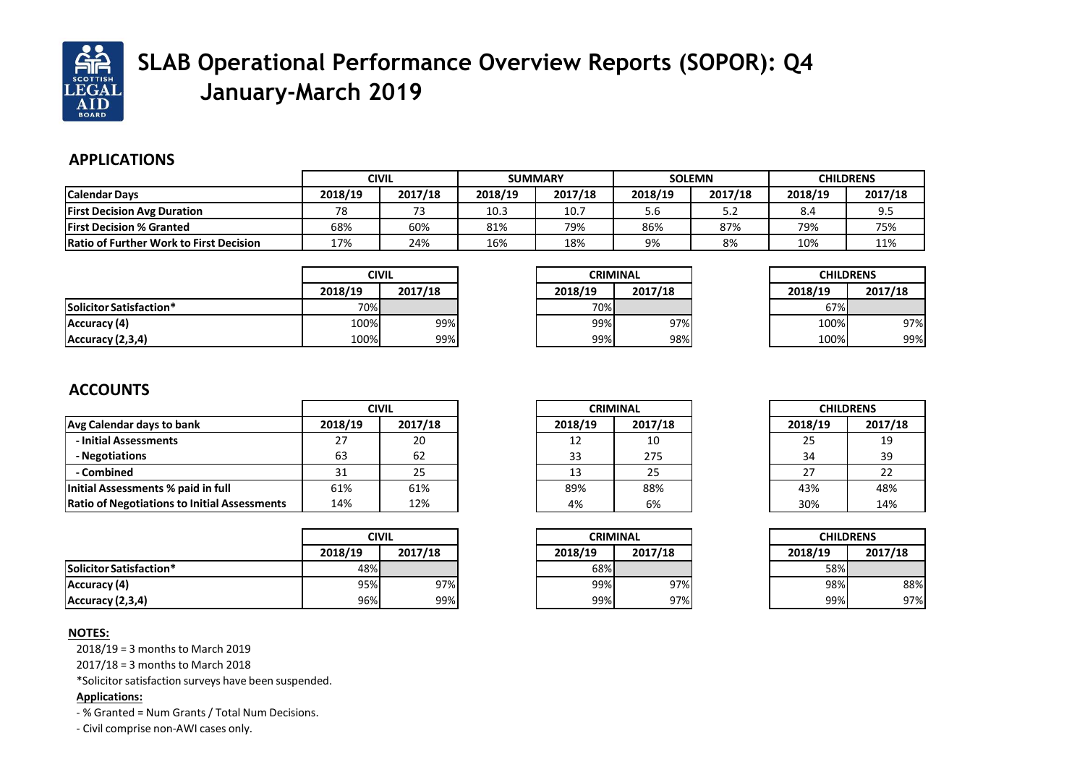

# **SLAB Operational Performance Overview Reports (SOPOR): Q4 January-March 2019**

### **APPLICATIONS**

|                                                |         | <b>CIVIL</b><br><b>SUMMARY</b> |         | <b>SOLEMN</b> |         | <b>CHILDRENS</b> |         |         |
|------------------------------------------------|---------|--------------------------------|---------|---------------|---------|------------------|---------|---------|
| <b>Calendar Days</b>                           | 2018/19 | 2017/18                        | 2018/19 | 2017/18       | 2018/19 | 2017/18          | 2018/19 | 2017/18 |
| <b>First Decision Avg Duration</b>             | 78      |                                | 10.3    | 10.7          | 5.6     | 5.2              | 8.4     | 9.5     |
| <b>IFirst Decision % Granted</b>               | 68%     | 60%                            | 81%     | 79%           | 86%     | 87%              | 79%     | 75%     |
| <b>Ratio of Further Work to First Decision</b> | 17%     | 24%                            | 16%     | 18%           | 9%      | 8%               | 10%     | 11%     |

|                         | <b>CIVIL</b> |         |  |
|-------------------------|--------------|---------|--|
|                         | 2018/19      | 2017/18 |  |
| Solicitor Satisfaction* | 70%          |         |  |
| Accuracy (4)            | 100%         | 99%     |  |
| Accuracy (2,3,4)        | 100%         | 99%     |  |

| <b>CRIMINAL</b> |         |  |
|-----------------|---------|--|
| 2018/19         | 2017/18 |  |
| 70%             |         |  |
| 99%             | 97%     |  |
| 99%             | 98%     |  |

| <b>CHILDRENS</b> |         |  |
|------------------|---------|--|
| 2018/19          | 2017/18 |  |
| 67%              |         |  |
| 100%             | 97%     |  |
| 100%             | 99%     |  |
|                  |         |  |

## **ACCOUNTS**

|                                                     | <b>CIVIL</b> |         |
|-----------------------------------------------------|--------------|---------|
| Avg Calendar days to bank                           | 2018/19      | 2017/18 |
| - Initial Assessments                               | 27           | 20      |
| - Negotiations                                      | 63           | 62      |
| - Combined                                          | 31           | 25      |
| Initial Assessments % paid in full                  | 61%          | 61%     |
| <b>Ratio of Negotiations to Initial Assessments</b> | 14%          | 12%     |

| <b>CRIMINAL</b> |         |  |
|-----------------|---------|--|
| 2018/19         | 2017/18 |  |
| 12              | 10      |  |
| 33              | 275     |  |
| 13              | 25      |  |
| 89%             | 88%     |  |
| 4%              | 6%      |  |

| <b>CHILDRENS</b> |         |  |  |
|------------------|---------|--|--|
| 2018/19          | 2017/18 |  |  |
| 25               | 19      |  |  |
| 34               | 39      |  |  |
| 27               | 22      |  |  |
| 43%              | 48%     |  |  |
| 30%              | 14%     |  |  |
|                  |         |  |  |

|                         | <b>CIVIL</b> |         |  |
|-------------------------|--------------|---------|--|
|                         | 2018/19      | 2017/18 |  |
| Solicitor Satisfaction* | 48%          |         |  |
| Accuracy (4)            | 95%          | 97%     |  |
| Accuracy (2,3,4)        | 96%          | 99%     |  |

| <b>CRIMINAL</b> |         |  |
|-----------------|---------|--|
| 2018/19         | 2017/18 |  |
| 68%             |         |  |
| 99%             | 97%     |  |
| 99%             | 97%     |  |

| <b>CHILDRENS</b> |         |  |  |
|------------------|---------|--|--|
| 2018/19          | 2017/18 |  |  |
| 58%              |         |  |  |
| 98%              | 88%     |  |  |
| 99%              | 97%     |  |  |

#### **NOTES:**

 $2018/19 = 3$  months to March 2019

 $2017/18 = 3$  months to March 2018

\*Solicitorsatisfaction surveys have been suspended.

#### **Applications:**

- % Granted = Num Grants / Total Num Decisions.

- Civil comprise non-AWI cases only.